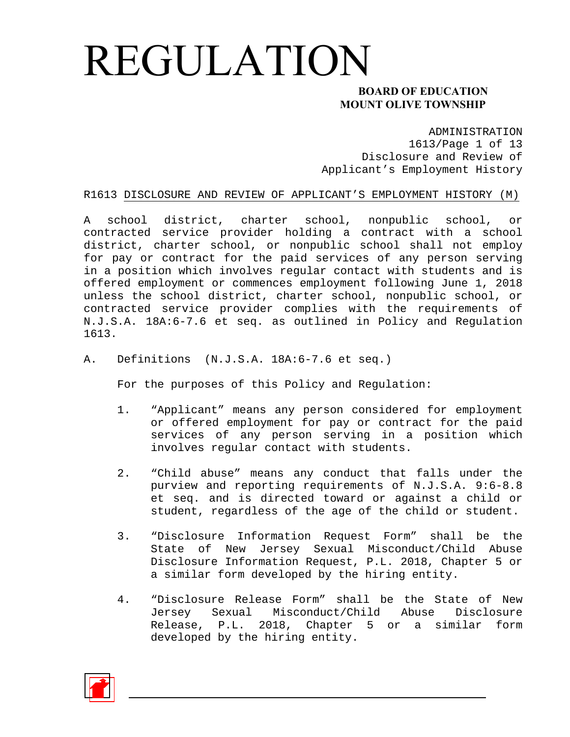### **MOUNT OLIVE TOWNSHIP**

ADMINISTRATION

1613/Page 1 of 13 Disclosure and Review of Applicant's Employment History

#### R1613 DISCLOSURE AND REVIEW OF APPLICANT'S EMPLOYMENT HISTORY (M)

A school district, charter school, nonpublic school, or contracted service provider holding a contract with a school district, charter school, or nonpublic school shall not employ for pay or contract for the paid services of any person serving in a position which involves regular contact with students and is offered employment or commences employment following June 1, 2018 unless the school district, charter school, nonpublic school, or contracted service provider complies with the requirements of N.J.S.A. 18A:6-7.6 et seq. as outlined in Policy and Regulation 1613.

A. Definitions (N.J.S.A. 18A:6-7.6 et seq.)

For the purposes of this Policy and Regulation:

- 1. "Applicant" means any person considered for employment or offered employment for pay or contract for the paid services of any person serving in a position which involves regular contact with students.
- 2. "Child abuse" means any conduct that falls under the purview and reporting requirements of N.J.S.A. 9:6-8.8 et seq. and is directed toward or against a child or student, regardless of the age of the child or student.
- 3. "Disclosure Information Request Form" shall be the State of New Jersey Sexual Misconduct/Child Abuse Disclosure Information Request, P.L. 2018, Chapter 5 or a similar form developed by the hiring entity.
- 4. "Disclosure Release Form" shall be the State of New Jersey Sexual Misconduct/Child Abuse Disclosure Release, P.L. 2018, Chapter 5 or a similar form developed by the hiring entity.

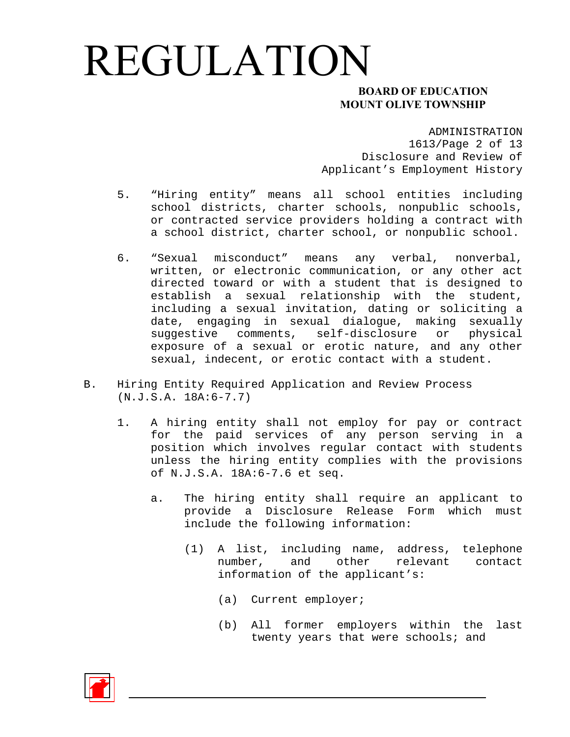### **MOUNT OLIVE TOWNSHIP**

ADMINISTRATION 1613/Page 2 of 13 Disclosure and Review of Applicant's Employment History

- 5. "Hiring entity" means all school entities including school districts, charter schools, nonpublic schools, or contracted service providers holding a contract with a school district, charter school, or nonpublic school.
- 6. "Sexual misconduct" means any verbal, nonverbal, written, or electronic communication, or any other act directed toward or with a student that is designed to establish a sexual relationship with the student, including a sexual invitation, dating or soliciting a date, engaging in sexual dialogue, making sexually suggestive comments, self-disclosure or physical exposure of a sexual or erotic nature, and any other sexual, indecent, or erotic contact with a student.
- B. Hiring Entity Required Application and Review Process (N.J.S.A. 18A:6-7.7)
	- 1. A hiring entity shall not employ for pay or contract for the paid services of any person serving in a position which involves regular contact with students unless the hiring entity complies with the provisions of N.J.S.A. 18A:6-7.6 et seq.
		- a. The hiring entity shall require an applicant to provide a Disclosure Release Form which must include the following information:
			- (1) A list, including name, address, telephone number, and other relevant contact information of the applicant's:
				- (a) Current employer;
				- (b) All former employers within the last twenty years that were schools; and

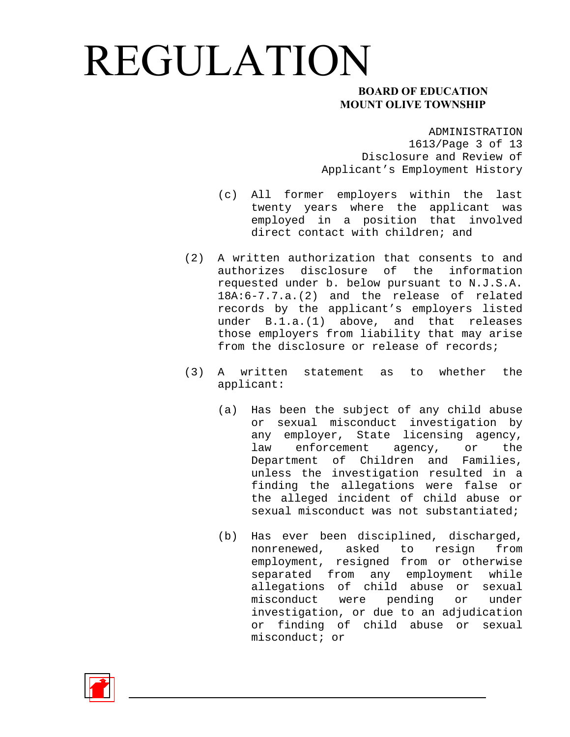### **MOUNT OLIVE TOWNSHIP**

ADMINISTRATION 1613/Page 3 of 13 Disclosure and Review of Applicant's Employment History

- (c) All former employers within the last twenty years where the applicant was employed in a position that involved direct contact with children; and
- (2) A written authorization that consents to and authorizes disclosure of the information requested under b. below pursuant to N.J.S.A. 18A:6-7.7.a.(2) and the release of related records by the applicant's employers listed under B.1.a.(1) above, and that releases those employers from liability that may arise from the disclosure or release of records;
- (3) A written statement as to whether the applicant:
	- (a) Has been the subject of any child abuse or sexual misconduct investigation by any employer, State licensing agency, law enforcement agency, or the Department of Children and Families, unless the investigation resulted in a finding the allegations were false or the alleged incident of child abuse or sexual misconduct was not substantiated;
	- (b) Has ever been disciplined, discharged, nonrenewed, asked to resign from employment, resigned from or otherwise separated from any employment while allegations of child abuse or sexual misconduct were pending or under investigation, or due to an adjudication or finding of child abuse or sexual misconduct; or

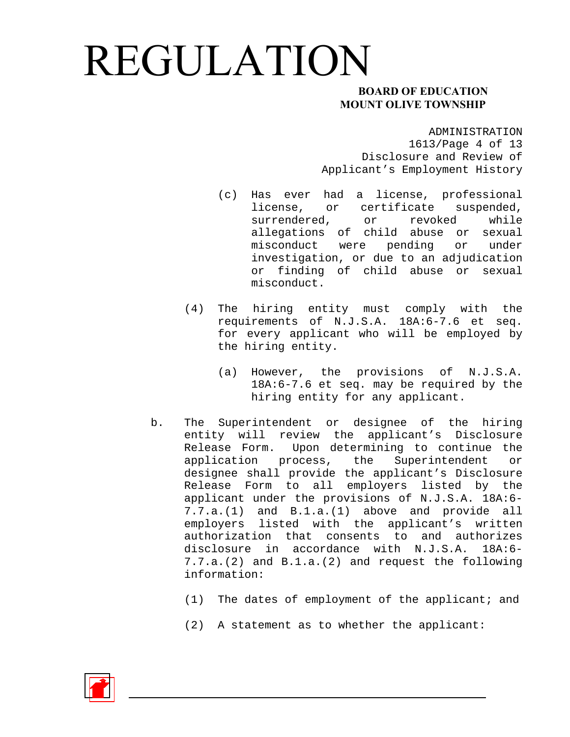### **MOUNT OLIVE TOWNSHIP**

ADMINISTRATION

1613/Page 4 of 13 Disclosure and Review of Applicant's Employment History

- (c) Has ever had a license, professional license, or certificate suspended, surrendered, or revoked while allegations of child abuse or sexual misconduct were pending or under investigation, or due to an adjudication or finding of child abuse or sexual misconduct.
- (4) The hiring entity must comply with the requirements of N.J.S.A. 18A:6-7.6 et seq. for every applicant who will be employed by the hiring entity.
	- (a) However, the provisions of N.J.S.A. 18A:6-7.6 et seq. may be required by the hiring entity for any applicant.
- b. The Superintendent or designee of the hiring entity will review the applicant's Disclosure Release Form. Upon determining to continue the application process, the Superintendent or designee shall provide the applicant's Disclosure Release Form to all employers listed by the applicant under the provisions of N.J.S.A. 18A:6- 7.7.a.(1) and B.1.a.(1) above and provide all employers listed with the applicant's written authorization that consents to and authorizes disclosure in accordance with N.J.S.A. 18A:6- 7.7.a.(2) and B.1.a.(2) and request the following information:
	- (1) The dates of employment of the applicant; and
	- (2) A statement as to whether the applicant:

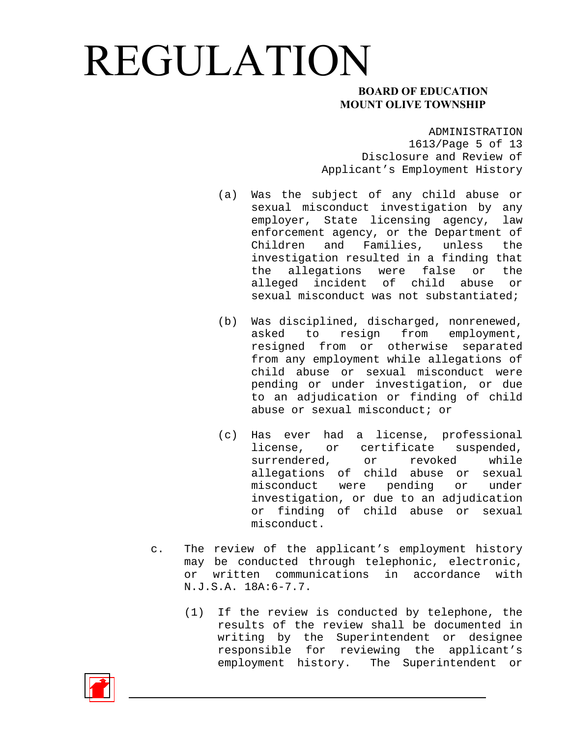### **MOUNT OLIVE TOWNSHIP**

ADMINISTRATION

1613/Page 5 of 13 Disclosure and Review of Applicant's Employment History

- (a) Was the subject of any child abuse or sexual misconduct investigation by any employer, State licensing agency, law enforcement agency, or the Department of Children and Families, unless the investigation resulted in a finding that the allegations were false or the alleged incident of child abuse or sexual misconduct was not substantiated;
- (b) Was disciplined, discharged, nonrenewed, asked to resign from employment, resigned from or otherwise separated from any employment while allegations of child abuse or sexual misconduct were pending or under investigation, or due to an adjudication or finding of child abuse or sexual misconduct; or
- (c) Has ever had a license, professional license, or certificate suspended, surrendered, or revoked while allegations of child abuse or sexual misconduct were pending or under investigation, or due to an adjudication or finding of child abuse or sexual misconduct.
- c. The review of the applicant's employment history may be conducted through telephonic, electronic, or written communications in accordance with N.J.S.A. 18A:6-7.7.
	- (1) If the review is conducted by telephone, the results of the review shall be documented in writing by the Superintendent or designee responsible for reviewing the applicant's employment history. The Superintendent or

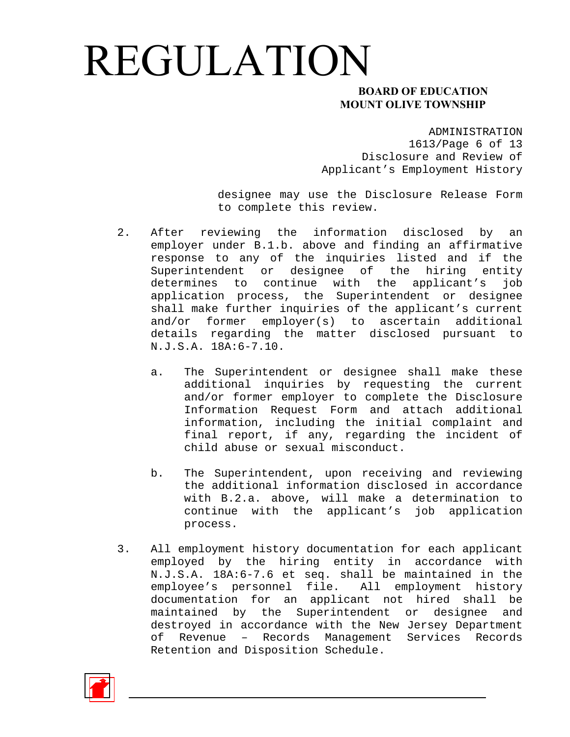### **MOUNT OLIVE TOWNSHIP**

ADMINISTRATION

1613/Page 6 of 13 Disclosure and Review of Applicant's Employment History

designee may use the Disclosure Release Form to complete this review.

- 2. After reviewing the information disclosed by an employer under B.1.b. above and finding an affirmative response to any of the inquiries listed and if the Superintendent or designee of the hiring entity determines to continue with the applicant's job application process, the Superintendent or designee shall make further inquiries of the applicant's current and/or former employer(s) to ascertain additional details regarding the matter disclosed pursuant to N.J.S.A. 18A:6-7.10.
	- a. The Superintendent or designee shall make these additional inquiries by requesting the current and/or former employer to complete the Disclosure Information Request Form and attach additional information, including the initial complaint and final report, if any, regarding the incident of child abuse or sexual misconduct.
	- b. The Superintendent, upon receiving and reviewing the additional information disclosed in accordance with B.2.a. above, will make a determination to continue with the applicant's job application process.
- 3. All employment history documentation for each applicant employed by the hiring entity in accordance with N.J.S.A. 18A:6-7.6 et seq. shall be maintained in the employee's personnel file. All employment history documentation for an applicant not hired shall be maintained by the Superintendent or designee and destroyed in accordance with the New Jersey Department of Revenue – Records Management Services Records Retention and Disposition Schedule.

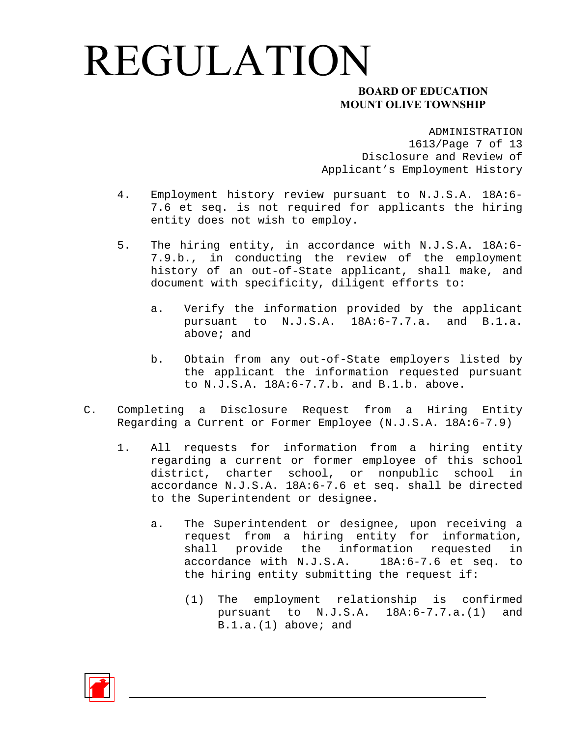### **MOUNT OLIVE TOWNSHIP**

ADMINISTRATION

1613/Page 7 of 13 Disclosure and Review of Applicant's Employment History

- 4. Employment history review pursuant to N.J.S.A. 18A:6- 7.6 et seq. is not required for applicants the hiring entity does not wish to employ.
- 5. The hiring entity, in accordance with N.J.S.A. 18A:6- 7.9.b., in conducting the review of the employment history of an out-of-State applicant, shall make, and document with specificity, diligent efforts to:
	- a. Verify the information provided by the applicant pursuant to N.J.S.A. 18A:6-7.7.a. and B.1.a. above; and
	- b. Obtain from any out-of-State employers listed by the applicant the information requested pursuant to N.J.S.A. 18A:6-7.7.b. and B.1.b. above.
- C. Completing a Disclosure Request from a Hiring Entity Regarding a Current or Former Employee (N.J.S.A. 18A:6-7.9)
	- 1. All requests for information from a hiring entity regarding a current or former employee of this school district, charter school, or nonpublic school in accordance N.J.S.A. 18A:6-7.6 et seq. shall be directed to the Superintendent or designee.
		- a. The Superintendent or designee, upon receiving a request from a hiring entity for information, shall provide the information requested in accordance with N.J.S.A. 18A:6-7.6 et seq. to the hiring entity submitting the request if:
			- (1) The employment relationship is confirmed pursuant to N.J.S.A. 18A:6-7.7.a.(1) and B.1.a.(1) above; and

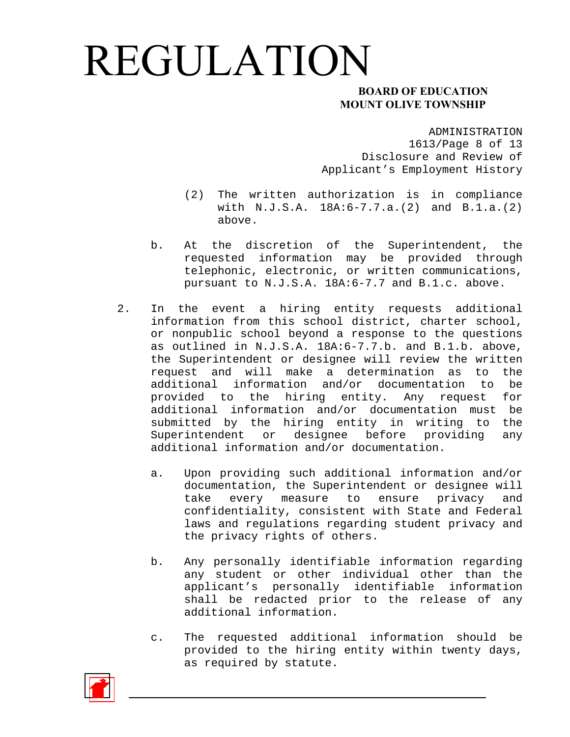### **MOUNT OLIVE TOWNSHIP**

#### ADMINISTRATION

1613/Page 8 of 13 Disclosure and Review of Applicant's Employment History

- (2) The written authorization is in compliance with N.J.S.A. 18A:6-7.7.a.(2) and B.1.a.(2) above.
- b. At the discretion of the Superintendent, the requested information may be provided through telephonic, electronic, or written communications, pursuant to N.J.S.A. 18A:6-7.7 and B.1.c. above.
- 2. In the event a hiring entity requests additional information from this school district, charter school, or nonpublic school beyond a response to the questions as outlined in N.J.S.A. 18A:6-7.7.b. and B.1.b. above, the Superintendent or designee will review the written request and will make a determination as to the additional information and/or documentation to be provided to the hiring entity. Any request for additional information and/or documentation must be submitted by the hiring entity in writing to the Superintendent or designee before providing any additional information and/or documentation.
	- a. Upon providing such additional information and/or documentation, the Superintendent or designee will take every measure to ensure privacy and confidentiality, consistent with State and Federal laws and regulations regarding student privacy and the privacy rights of others.
	- b. Any personally identifiable information regarding any student or other individual other than the applicant's personally identifiable information shall be redacted prior to the release of any additional information.
	- c. The requested additional information should be provided to the hiring entity within twenty days, as required by statute.

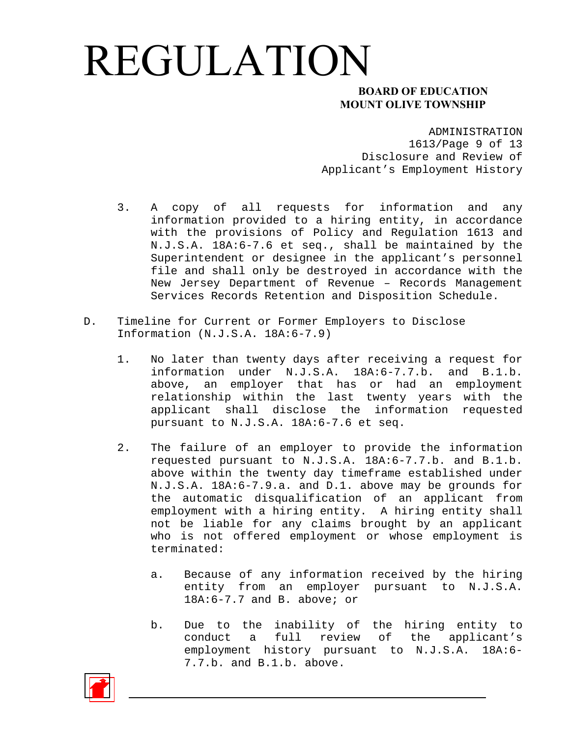### **MOUNT OLIVE TOWNSHIP**

ADMINISTRATION

1613/Page 9 of 13 Disclosure and Review of Applicant's Employment History

- 3. A copy of all requests for information and any information provided to a hiring entity, in accordance with the provisions of Policy and Regulation 1613 and N.J.S.A. 18A:6-7.6 et seq., shall be maintained by the Superintendent or designee in the applicant's personnel file and shall only be destroyed in accordance with the New Jersey Department of Revenue – Records Management Services Records Retention and Disposition Schedule.
- D. Timeline for Current or Former Employers to Disclose Information (N.J.S.A. 18A:6-7.9)
	- 1. No later than twenty days after receiving a request for information under N.J.S.A. 18A:6-7.7.b. and B.1.b. above, an employer that has or had an employment relationship within the last twenty years with the applicant shall disclose the information requested pursuant to N.J.S.A. 18A:6-7.6 et seq.
	- 2. The failure of an employer to provide the information requested pursuant to N.J.S.A. 18A:6-7.7.b. and B.1.b. above within the twenty day timeframe established under N.J.S.A. 18A:6-7.9.a. and D.1. above may be grounds for the automatic disqualification of an applicant from employment with a hiring entity. A hiring entity shall not be liable for any claims brought by an applicant who is not offered employment or whose employment is terminated:
		- a. Because of any information received by the hiring entity from an employer pursuant to N.J.S.A. 18A:6-7.7 and B. above; or
		- b. Due to the inability of the hiring entity to conduct a full review of the applicant's employment history pursuant to N.J.S.A. 18A:6- 7.7.b. and B.1.b. above.

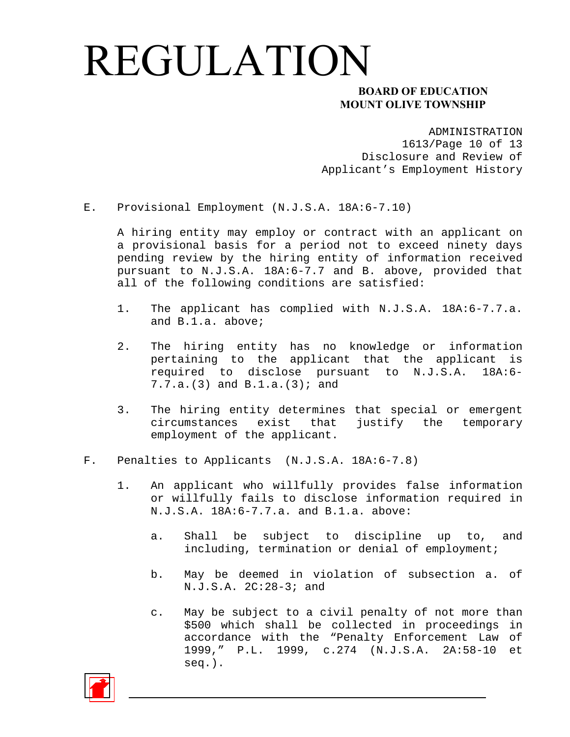### **MOUNT OLIVE TOWNSHIP**

ADMINISTRATION

1613/Page 10 of 13 Disclosure and Review of Applicant's Employment History

E. Provisional Employment (N.J.S.A. 18A:6-7.10)

A hiring entity may employ or contract with an applicant on a provisional basis for a period not to exceed ninety days pending review by the hiring entity of information received pursuant to N.J.S.A. 18A:6-7.7 and B. above, provided that all of the following conditions are satisfied:

- 1. The applicant has complied with N.J.S.A. 18A:6-7.7.a. and B.1.a. above;
- 2. The hiring entity has no knowledge or information pertaining to the applicant that the applicant is required to disclose pursuant to N.J.S.A. 18A:6- 7.7.a.(3) and B.1.a.(3); and
- 3. The hiring entity determines that special or emergent circumstances exist that justify the temporary employment of the applicant.
- F. Penalties to Applicants (N.J.S.A. 18A:6-7.8)
	- 1. An applicant who willfully provides false information or willfully fails to disclose information required in N.J.S.A. 18A:6-7.7.a. and B.1.a. above:
		- a. Shall be subject to discipline up to, and including, termination or denial of employment;
		- b. May be deemed in violation of subsection a. of N.J.S.A. 2C:28-3; and
		- c. May be subject to a civil penalty of not more than \$500 which shall be collected in proceedings in accordance with the "Penalty Enforcement Law of 1999," P.L. 1999, c.274 (N.J.S.A. 2A:58-10 et seq.).

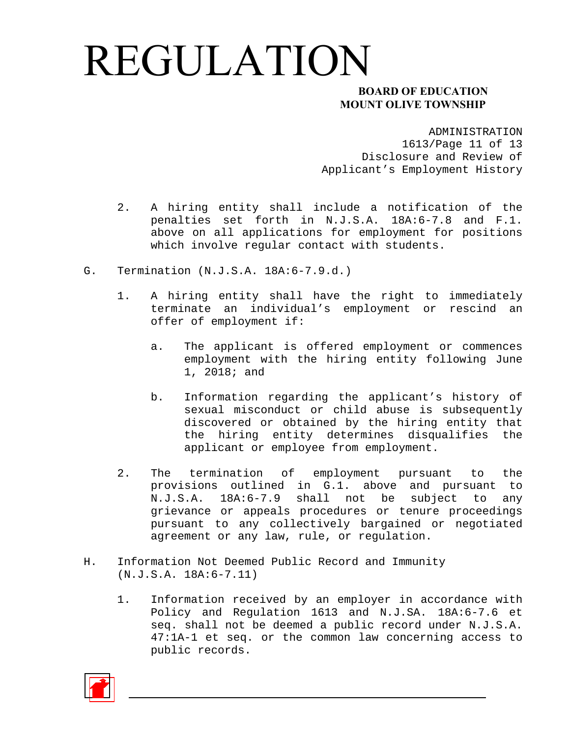#### **MOUNT OLIVE TOWNSHIP**

ADMINISTRATION

1613/Page 11 of 13 Disclosure and Review of Applicant's Employment History

- 2. A hiring entity shall include a notification of the penalties set forth in N.J.S.A. 18A:6-7.8 and F.1. above on all applications for employment for positions which involve regular contact with students.
- G. Termination (N.J.S.A. 18A:6-7.9.d.)
	- 1. A hiring entity shall have the right to immediately terminate an individual's employment or rescind an offer of employment if:
		- a. The applicant is offered employment or commences employment with the hiring entity following June 1, 2018; and
		- b. Information regarding the applicant's history of sexual misconduct or child abuse is subsequently discovered or obtained by the hiring entity that the hiring entity determines disqualifies the applicant or employee from employment.
	- 2. The termination of employment pursuant to the provisions outlined in G.1. above and pursuant to N.J.S.A. 18A:6-7.9 shall not be subject to any grievance or appeals procedures or tenure proceedings pursuant to any collectively bargained or negotiated agreement or any law, rule, or regulation.
- H. Information Not Deemed Public Record and Immunity (N.J.S.A. 18A:6-7.11)
	- 1. Information received by an employer in accordance with Policy and Regulation 1613 and N.J.SA. 18A:6-7.6 et seq. shall not be deemed a public record under N.J.S.A. 47:1A-1 et seq. or the common law concerning access to public records.

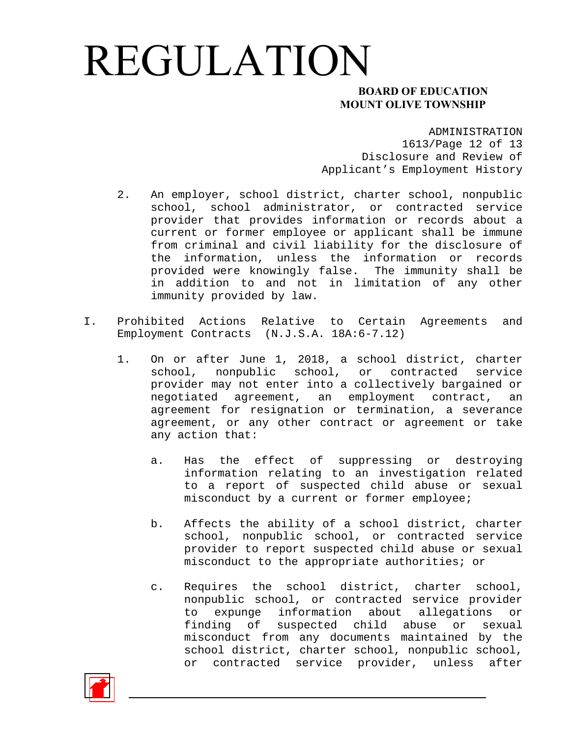#### **MOUNT OLIVE TOWNSHIP**

#### ADMINISTRATION

1613/Page 12 of 13 Disclosure and Review of Applicant's Employment History

- 2. An employer, school district, charter school, nonpublic school, school administrator, or contracted service provider that provides information or records about a current or former employee or applicant shall be immune from criminal and civil liability for the disclosure of the information, unless the information or records provided were knowingly false. The immunity shall be in addition to and not in limitation of any other immunity provided by law.
- I. Prohibited Actions Relative to Certain Agreements and Employment Contracts (N.J.S.A. 18A:6-7.12)
	- 1. On or after June 1, 2018, a school district, charter school, nonpublic school, or contracted service provider may not enter into a collectively bargained or negotiated agreement, an employment contract, an agreement for resignation or termination, a severance agreement, or any other contract or agreement or take any action that:
		- a. Has the effect of suppressing or destroying information relating to an investigation related to a report of suspected child abuse or sexual misconduct by a current or former employee;
		- b. Affects the ability of a school district, charter school, nonpublic school, or contracted service provider to report suspected child abuse or sexual misconduct to the appropriate authorities; or
		- c. Requires the school district, charter school, nonpublic school, or contracted service provider to expunge information about allegations or finding of suspected child abuse or sexual misconduct from any documents maintained by the school district, charter school, nonpublic school, or contracted service provider, unless after